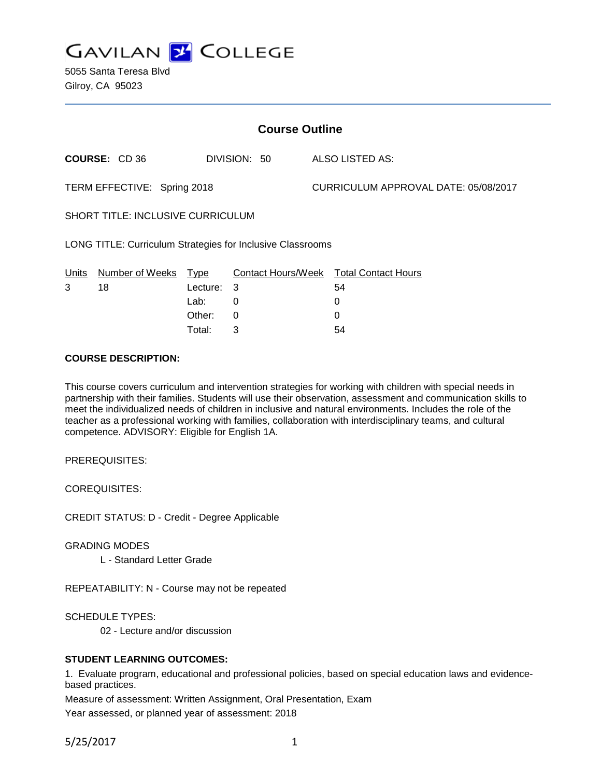

5055 Santa Teresa Blvd Gilroy, CA 95023

| <b>Course Outline</b>                                      |                      |          |              |  |                                        |  |
|------------------------------------------------------------|----------------------|----------|--------------|--|----------------------------------------|--|
|                                                            | <b>COURSE: CD 36</b> |          | DIVISION: 50 |  | ALSO LISTED AS:                        |  |
| TERM EFFECTIVE: Spring 2018                                |                      |          |              |  | CURRICULUM APPROVAL DATE: 05/08/2017   |  |
| <b>SHORT TITLE: INCLUSIVE CURRICULUM</b>                   |                      |          |              |  |                                        |  |
| LONG TITLE: Curriculum Strategies for Inclusive Classrooms |                      |          |              |  |                                        |  |
| <b>Units</b>                                               | Number of Weeks      | Type     |              |  | Contact Hours/Week Total Contact Hours |  |
| 3                                                          | 18                   | Lecture: | 3            |  | 54                                     |  |
|                                                            |                      | Lab:     | 0            |  | 0                                      |  |
|                                                            |                      | Other:   | $\Omega$     |  | 0                                      |  |
|                                                            |                      | Total:   | 3            |  | 54                                     |  |

### **COURSE DESCRIPTION:**

This course covers curriculum and intervention strategies for working with children with special needs in partnership with their families. Students will use their observation, assessment and communication skills to meet the individualized needs of children in inclusive and natural environments. Includes the role of the teacher as a professional working with families, collaboration with interdisciplinary teams, and cultural competence. ADVISORY: Eligible for English 1A.

PREREQUISITES:

COREQUISITES:

CREDIT STATUS: D - Credit - Degree Applicable

GRADING MODES

L - Standard Letter Grade

REPEATABILITY: N - Course may not be repeated

SCHEDULE TYPES:

02 - Lecture and/or discussion

## **STUDENT LEARNING OUTCOMES:**

1. Evaluate program, educational and professional policies, based on special education laws and evidencebased practices.

Measure of assessment: Written Assignment, Oral Presentation, Exam

Year assessed, or planned year of assessment: 2018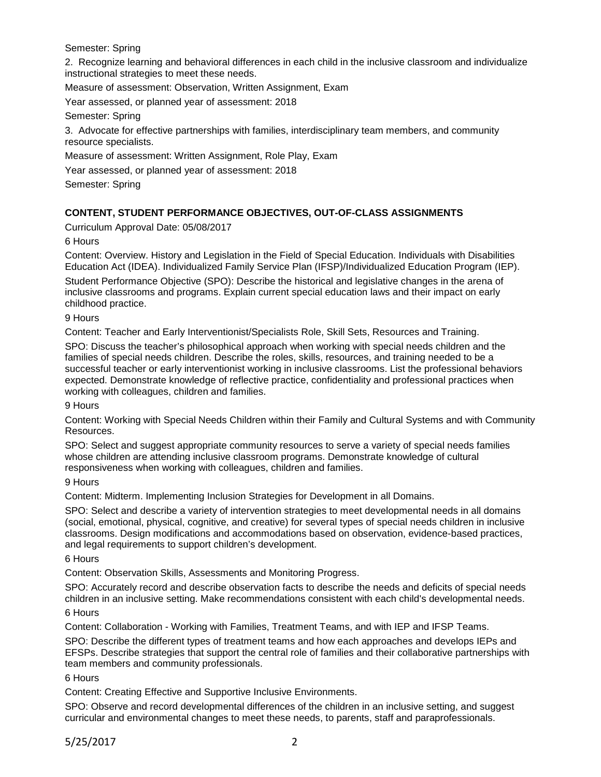Semester: Spring

2. Recognize learning and behavioral differences in each child in the inclusive classroom and individualize instructional strategies to meet these needs.

Measure of assessment: Observation, Written Assignment, Exam

Year assessed, or planned year of assessment: 2018

Semester: Spring

3. Advocate for effective partnerships with families, interdisciplinary team members, and community resource specialists.

Measure of assessment: Written Assignment, Role Play, Exam

Year assessed, or planned year of assessment: 2018

Semester: Spring

# **CONTENT, STUDENT PERFORMANCE OBJECTIVES, OUT-OF-CLASS ASSIGNMENTS**

Curriculum Approval Date: 05/08/2017

6 Hours

Content: Overview. History and Legislation in the Field of Special Education. Individuals with Disabilities Education Act (IDEA). Individualized Family Service Plan (IFSP)/Individualized Education Program (IEP).

Student Performance Objective (SPO): Describe the historical and legislative changes in the arena of inclusive classrooms and programs. Explain current special education laws and their impact on early childhood practice.

9 Hours

Content: Teacher and Early Interventionist/Specialists Role, Skill Sets, Resources and Training.

SPO: Discuss the teacher's philosophical approach when working with special needs children and the families of special needs children. Describe the roles, skills, resources, and training needed to be a successful teacher or early interventionist working in inclusive classrooms. List the professional behaviors expected. Demonstrate knowledge of reflective practice, confidentiality and professional practices when working with colleagues, children and families.

9 Hours

Content: Working with Special Needs Children within their Family and Cultural Systems and with Community Resources.

SPO: Select and suggest appropriate community resources to serve a variety of special needs families whose children are attending inclusive classroom programs. Demonstrate knowledge of cultural responsiveness when working with colleagues, children and families.

9 Hours

Content: Midterm. Implementing Inclusion Strategies for Development in all Domains.

SPO: Select and describe a variety of intervention strategies to meet developmental needs in all domains (social, emotional, physical, cognitive, and creative) for several types of special needs children in inclusive classrooms. Design modifications and accommodations based on observation, evidence-based practices, and legal requirements to support children's development.

6 Hours

Content: Observation Skills, Assessments and Monitoring Progress.

SPO: Accurately record and describe observation facts to describe the needs and deficits of special needs children in an inclusive setting. Make recommendations consistent with each child's developmental needs. 6 Hours

Content: Collaboration - Working with Families, Treatment Teams, and with IEP and IFSP Teams.

SPO: Describe the different types of treatment teams and how each approaches and develops IEPs and EFSPs. Describe strategies that support the central role of families and their collaborative partnerships with team members and community professionals.

6 Hours

Content: Creating Effective and Supportive Inclusive Environments.

SPO: Observe and record developmental differences of the children in an inclusive setting, and suggest curricular and environmental changes to meet these needs, to parents, staff and paraprofessionals.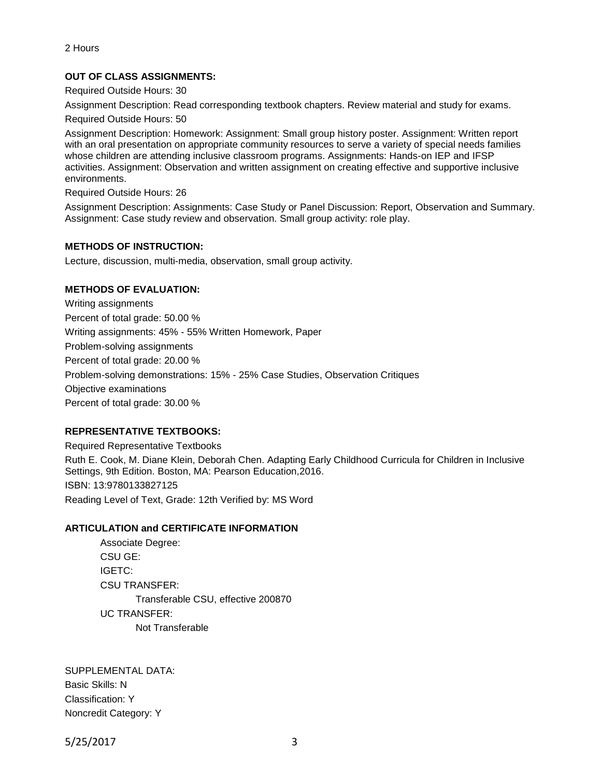# **OUT OF CLASS ASSIGNMENTS:**

Required Outside Hours: 30

Assignment Description: Read corresponding textbook chapters. Review material and study for exams.

Required Outside Hours: 50

Assignment Description: Homework: Assignment: Small group history poster. Assignment: Written report with an oral presentation on appropriate community resources to serve a variety of special needs families whose children are attending inclusive classroom programs. Assignments: Hands-on IEP and IFSP activities. Assignment: Observation and written assignment on creating effective and supportive inclusive environments.

Required Outside Hours: 26

Assignment Description: Assignments: Case Study or Panel Discussion: Report, Observation and Summary. Assignment: Case study review and observation. Small group activity: role play.

#### **METHODS OF INSTRUCTION:**

Lecture, discussion, multi-media, observation, small group activity.

## **METHODS OF EVALUATION:**

Writing assignments Percent of total grade: 50.00 % Writing assignments: 45% - 55% Written Homework, Paper Problem-solving assignments Percent of total grade: 20.00 % Problem-solving demonstrations: 15% - 25% Case Studies, Observation Critiques Objective examinations Percent of total grade: 30.00 %

## **REPRESENTATIVE TEXTBOOKS:**

Required Representative Textbooks Ruth E. Cook, M. Diane Klein, Deborah Chen. Adapting Early Childhood Curricula for Children in Inclusive Settings, 9th Edition. Boston, MA: Pearson Education,2016. ISBN: 13:9780133827125 Reading Level of Text, Grade: 12th Verified by: MS Word

#### **ARTICULATION and CERTIFICATE INFORMATION**

Associate Degree: CSU GE: IGETC: CSU TRANSFER: Transferable CSU, effective 200870 UC TRANSFER: Not Transferable

SUPPLEMENTAL DATA: Basic Skills: N Classification: Y Noncredit Category: Y

5/25/2017 3